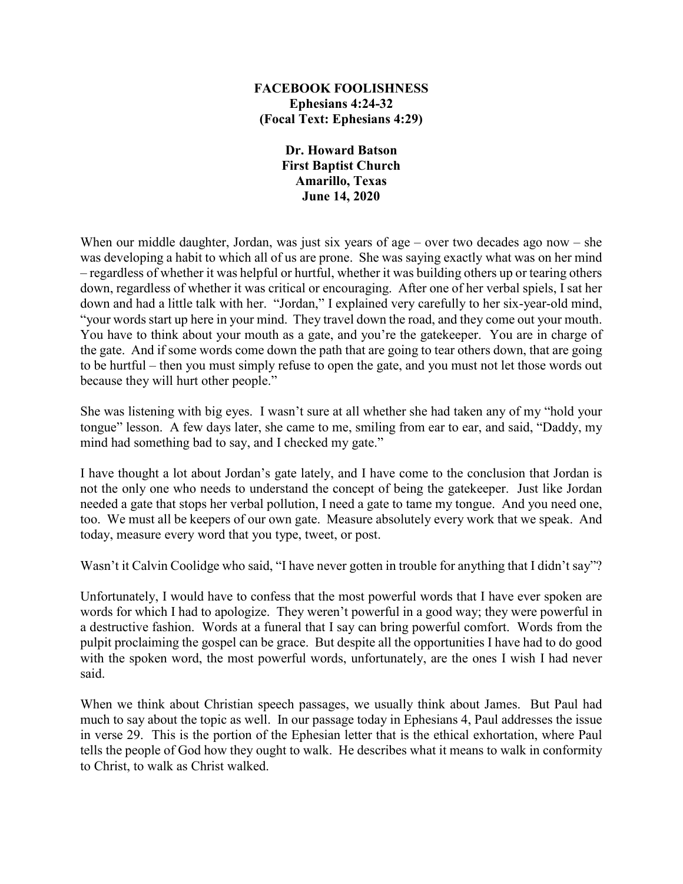## **FACEBOOK FOOLISHNESS Ephesians 4:24-32 (Focal Text: Ephesians 4:29)**

**Dr. Howard Batson First Baptist Church Amarillo, Texas June 14, 2020**

When our middle daughter, Jordan, was just six years of age – over two decades ago now – she was developing a habit to which all of us are prone. She was saying exactly what was on her mind – regardless of whether it was helpful or hurtful, whether it was building others up or tearing others down, regardless of whether it was critical or encouraging. After one of her verbal spiels, I sat her down and had a little talk with her. "Jordan," I explained very carefully to her six-year-old mind, "your words start up here in your mind. They travel down the road, and they come out your mouth. You have to think about your mouth as a gate, and you're the gatekeeper. You are in charge of the gate. And if some words come down the path that are going to tear others down, that are going to be hurtful – then you must simply refuse to open the gate, and you must not let those words out because they will hurt other people."

She was listening with big eyes. I wasn't sure at all whether she had taken any of my "hold your tongue" lesson. A few days later, she came to me, smiling from ear to ear, and said, "Daddy, my mind had something bad to say, and I checked my gate."

I have thought a lot about Jordan's gate lately, and I have come to the conclusion that Jordan is not the only one who needs to understand the concept of being the gatekeeper. Just like Jordan needed a gate that stops her verbal pollution, I need a gate to tame my tongue. And you need one, too. We must all be keepers of our own gate. Measure absolutely every work that we speak. And today, measure every word that you type, tweet, or post.

Wasn't it Calvin Coolidge who said, "I have never gotten in trouble for anything that I didn't say"?

Unfortunately, I would have to confess that the most powerful words that I have ever spoken are words for which I had to apologize. They weren't powerful in a good way; they were powerful in a destructive fashion. Words at a funeral that I say can bring powerful comfort. Words from the pulpit proclaiming the gospel can be grace. But despite all the opportunities I have had to do good with the spoken word, the most powerful words, unfortunately, are the ones I wish I had never said.

When we think about Christian speech passages, we usually think about James. But Paul had much to say about the topic as well. In our passage today in Ephesians 4, Paul addresses the issue in verse 29. This is the portion of the Ephesian letter that is the ethical exhortation, where Paul tells the people of God how they ought to walk. He describes what it means to walk in conformity to Christ, to walk as Christ walked.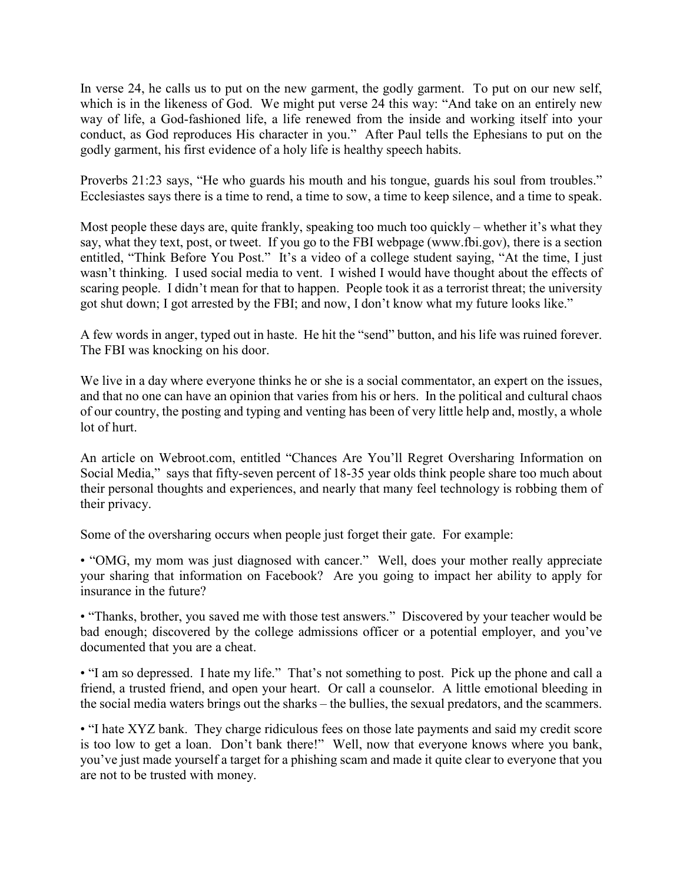In verse 24, he calls us to put on the new garment, the godly garment. To put on our new self, which is in the likeness of God. We might put verse 24 this way: "And take on an entirely new way of life, a God-fashioned life, a life renewed from the inside and working itself into your conduct, as God reproduces His character in you." After Paul tells the Ephesians to put on the godly garment, his first evidence of a holy life is healthy speech habits.

Proverbs 21:23 says, "He who guards his mouth and his tongue, guards his soul from troubles." Ecclesiastes says there is a time to rend, a time to sow, a time to keep silence, and a time to speak.

Most people these days are, quite frankly, speaking too much too quickly – whether it's what they say, what they text, post, or tweet. If you go to the FBI webpage (www.fbi.gov), there is a section entitled, "Think Before You Post." It's a video of a college student saying, "At the time, I just wasn't thinking. I used social media to vent. I wished I would have thought about the effects of scaring people. I didn't mean for that to happen. People took it as a terrorist threat; the university got shut down; I got arrested by the FBI; and now, I don't know what my future looks like."

A few words in anger, typed out in haste. He hit the "send" button, and his life was ruined forever. The FBI was knocking on his door.

We live in a day where everyone thinks he or she is a social commentator, an expert on the issues, and that no one can have an opinion that varies from his or hers. In the political and cultural chaos of our country, the posting and typing and venting has been of very little help and, mostly, a whole lot of hurt.

An article on Webroot.com, entitled "Chances Are You'll Regret Oversharing Information on Social Media," says that fifty-seven percent of 18-35 year olds think people share too much about their personal thoughts and experiences, and nearly that many feel technology is robbing them of their privacy.

Some of the oversharing occurs when people just forget their gate. For example:

• "OMG, my mom was just diagnosed with cancer." Well, does your mother really appreciate your sharing that information on Facebook? Are you going to impact her ability to apply for insurance in the future?

• "Thanks, brother, you saved me with those test answers." Discovered by your teacher would be bad enough; discovered by the college admissions officer or a potential employer, and you've documented that you are a cheat.

• "I am so depressed. I hate my life." That's not something to post. Pick up the phone and call a friend, a trusted friend, and open your heart. Or call a counselor. A little emotional bleeding in the social media waters brings out the sharks – the bullies, the sexual predators, and the scammers.

• "I hate XYZ bank. They charge ridiculous fees on those late payments and said my credit score is too low to get a loan. Don't bank there!" Well, now that everyone knows where you bank, you've just made yourself a target for a phishing scam and made it quite clear to everyone that you are not to be trusted with money.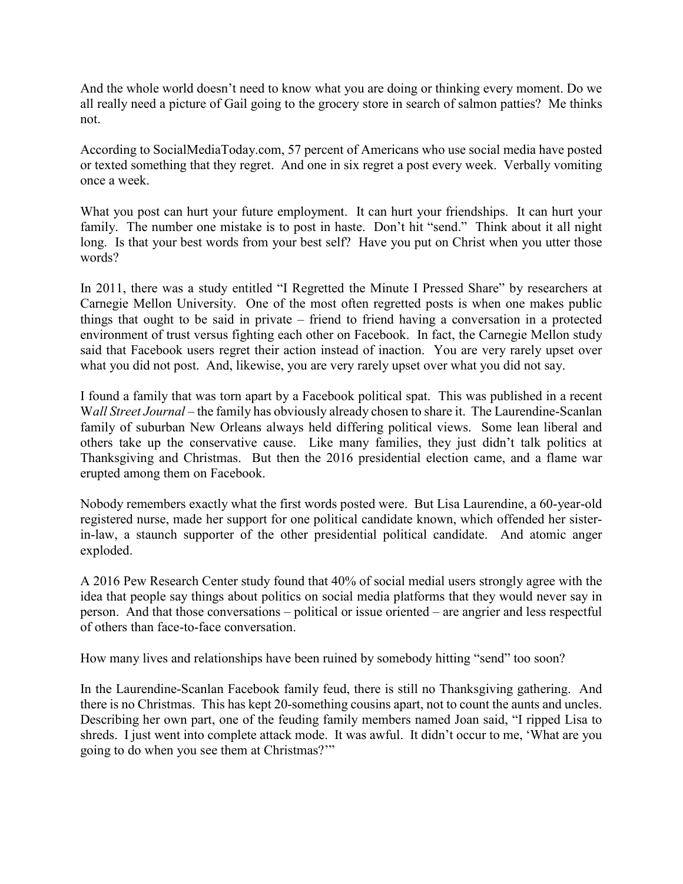And the whole world doesn't need to know what you are doing or thinking every moment. Do we all really need a picture of Gail going to the grocery store in search of salmon patties? Me thinks not.

According to SocialMediaToday.com, 57 percent of Americans who use social media have posted or texted something that they regret. And one in six regret a post every week. Verbally vomiting once a week.

What you post can hurt your future employment. It can hurt your friendships. It can hurt your family. The number one mistake is to post in haste. Don't hit "send." Think about it all night long. Is that your best words from your best self? Have you put on Christ when you utter those words?

In 2011, there was a study entitled "I Regretted the Minute I Pressed Share" by researchers at Carnegie Mellon University. One of the most often regretted posts is when one makes public things that ought to be said in private – friend to friend having a conversation in a protected environment of trust versus fighting each other on Facebook. In fact, the Carnegie Mellon study said that Facebook users regret their action instead of inaction. You are very rarely upset over what you did not post. And, likewise, you are very rarely upset over what you did not say.

I found a family that was torn apart by a Facebook political spat. This was published in a recent W*all Street Journal* – the family has obviously already chosen to share it. The Laurendine-Scanlan family of suburban New Orleans always held differing political views. Some lean liberal and others take up the conservative cause. Like many families, they just didn't talk politics at Thanksgiving and Christmas. But then the 2016 presidential election came, and a flame war erupted among them on Facebook.

Nobody remembers exactly what the first words posted were. But Lisa Laurendine, a 60-year-old registered nurse, made her support for one political candidate known, which offended her sisterin-law, a staunch supporter of the other presidential political candidate. And atomic anger exploded.

A 2016 Pew Research Center study found that 40% of social medial users strongly agree with the idea that people say things about politics on social media platforms that they would never say in person. And that those conversations – political or issue oriented – are angrier and less respectful of others than face-to-face conversation.

How many lives and relationships have been ruined by somebody hitting "send" too soon?

In the Laurendine-Scanlan Facebook family feud, there is still no Thanksgiving gathering. And there is no Christmas. This has kept 20-something cousins apart, not to count the aunts and uncles. Describing her own part, one of the feuding family members named Joan said, "I ripped Lisa to shreds. I just went into complete attack mode. It was awful. It didn't occur to me, 'What are you going to do when you see them at Christmas?'"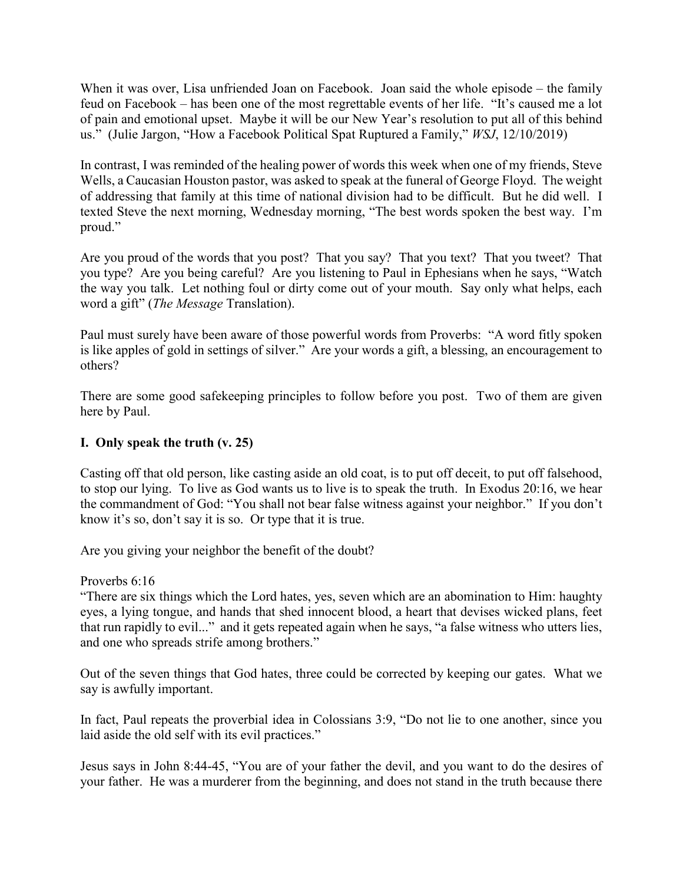When it was over, Lisa unfriended Joan on Facebook. Joan said the whole episode – the family feud on Facebook – has been one of the most regrettable events of her life. "It's caused me a lot of pain and emotional upset. Maybe it will be our New Year's resolution to put all of this behind us." (Julie Jargon, "How a Facebook Political Spat Ruptured a Family," *WSJ*, 12/10/2019)

In contrast, I was reminded of the healing power of words this week when one of my friends, Steve Wells, a Caucasian Houston pastor, was asked to speak at the funeral of George Floyd. The weight of addressing that family at this time of national division had to be difficult. But he did well. I texted Steve the next morning, Wednesday morning, "The best words spoken the best way. I'm proud."

Are you proud of the words that you post? That you say? That you text? That you tweet? That you type? Are you being careful? Are you listening to Paul in Ephesians when he says, "Watch the way you talk. Let nothing foul or dirty come out of your mouth. Say only what helps, each word a gift" (*The Message* Translation).

Paul must surely have been aware of those powerful words from Proverbs: "A word fitly spoken is like apples of gold in settings of silver." Are your words a gift, a blessing, an encouragement to others?

There are some good safekeeping principles to follow before you post. Two of them are given here by Paul.

## **I. Only speak the truth (v. 25)**

Casting off that old person, like casting aside an old coat, is to put off deceit, to put off falsehood, to stop our lying. To live as God wants us to live is to speak the truth. In Exodus 20:16, we hear the commandment of God: "You shall not bear false witness against your neighbor." If you don't know it's so, don't say it is so. Or type that it is true.

Are you giving your neighbor the benefit of the doubt?

Proverbs 6:16

"There are six things which the Lord hates, yes, seven which are an abomination to Him: haughty eyes, a lying tongue, and hands that shed innocent blood, a heart that devises wicked plans, feet that run rapidly to evil..." and it gets repeated again when he says, "a false witness who utters lies, and one who spreads strife among brothers."

Out of the seven things that God hates, three could be corrected by keeping our gates. What we say is awfully important.

In fact, Paul repeats the proverbial idea in Colossians 3:9, "Do not lie to one another, since you laid aside the old self with its evil practices."

Jesus says in John 8:44-45, "You are of your father the devil, and you want to do the desires of your father. He was a murderer from the beginning, and does not stand in the truth because there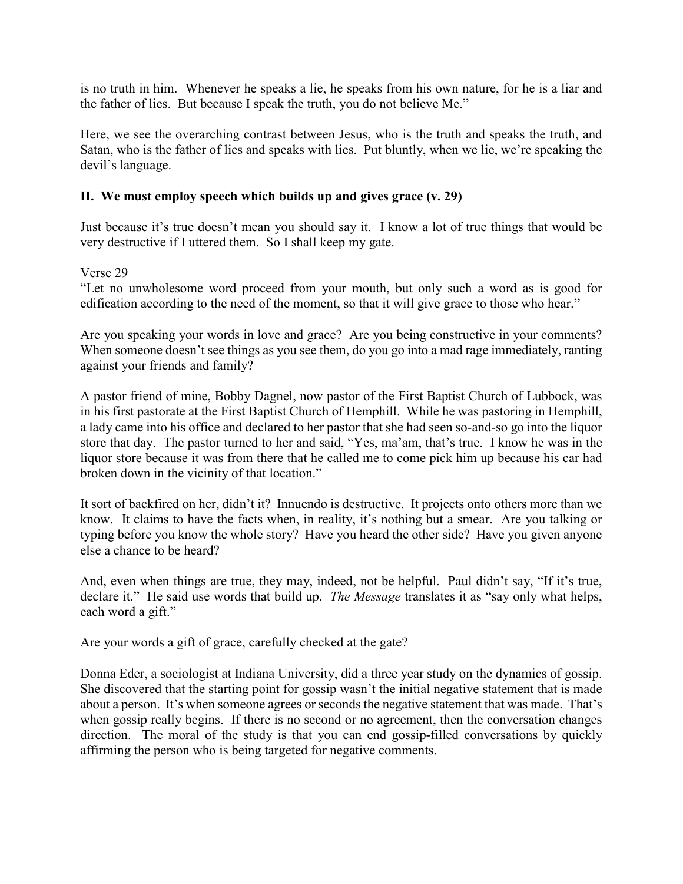is no truth in him. Whenever he speaks a lie, he speaks from his own nature, for he is a liar and the father of lies. But because I speak the truth, you do not believe Me."

Here, we see the overarching contrast between Jesus, who is the truth and speaks the truth, and Satan, who is the father of lies and speaks with lies. Put bluntly, when we lie, we're speaking the devil's language.

## **II. We must employ speech which builds up and gives grace (v. 29)**

Just because it's true doesn't mean you should say it. I know a lot of true things that would be very destructive if I uttered them. So I shall keep my gate.

## Verse 29

"Let no unwholesome word proceed from your mouth, but only such a word as is good for edification according to the need of the moment, so that it will give grace to those who hear."

Are you speaking your words in love and grace? Are you being constructive in your comments? When someone doesn't see things as you see them, do you go into a mad rage immediately, ranting against your friends and family?

A pastor friend of mine, Bobby Dagnel, now pastor of the First Baptist Church of Lubbock, was in his first pastorate at the First Baptist Church of Hemphill. While he was pastoring in Hemphill, a lady came into his office and declared to her pastor that she had seen so-and-so go into the liquor store that day. The pastor turned to her and said, "Yes, ma'am, that's true. I know he was in the liquor store because it was from there that he called me to come pick him up because his car had broken down in the vicinity of that location."

It sort of backfired on her, didn't it? Innuendo is destructive. It projects onto others more than we know. It claims to have the facts when, in reality, it's nothing but a smear. Are you talking or typing before you know the whole story? Have you heard the other side? Have you given anyone else a chance to be heard?

And, even when things are true, they may, indeed, not be helpful. Paul didn't say, "If it's true, declare it." He said use words that build up. *The Message* translates it as "say only what helps, each word a gift."

Are your words a gift of grace, carefully checked at the gate?

Donna Eder, a sociologist at Indiana University, did a three year study on the dynamics of gossip. She discovered that the starting point for gossip wasn't the initial negative statement that is made about a person. It's when someone agrees or seconds the negative statement that was made. That's when gossip really begins. If there is no second or no agreement, then the conversation changes direction. The moral of the study is that you can end gossip-filled conversations by quickly affirming the person who is being targeted for negative comments.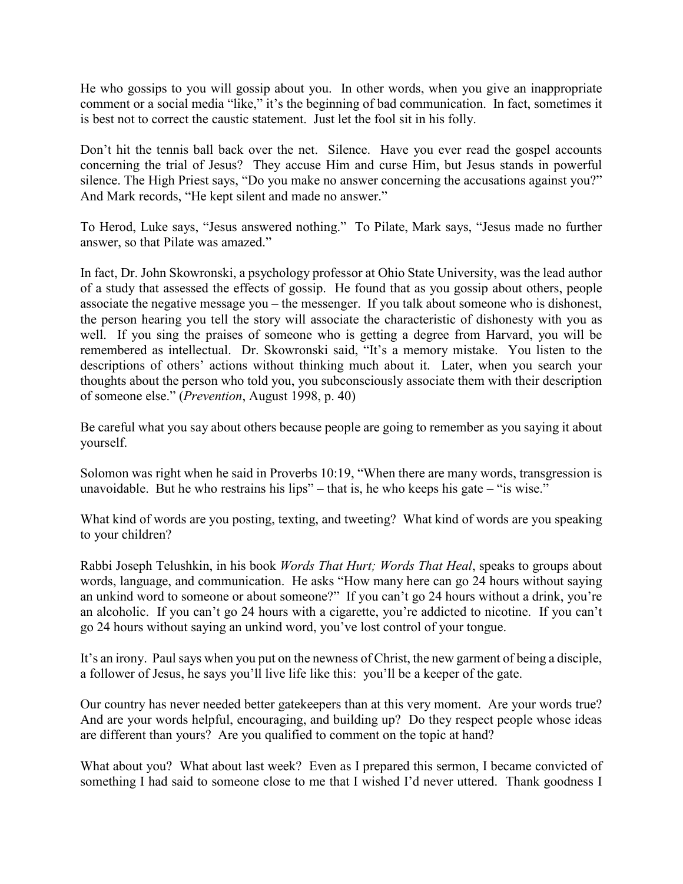He who gossips to you will gossip about you. In other words, when you give an inappropriate comment or a social media "like," it's the beginning of bad communication. In fact, sometimes it is best not to correct the caustic statement. Just let the fool sit in his folly.

Don't hit the tennis ball back over the net. Silence. Have you ever read the gospel accounts concerning the trial of Jesus? They accuse Him and curse Him, but Jesus stands in powerful silence. The High Priest says, "Do you make no answer concerning the accusations against you?" And Mark records, "He kept silent and made no answer."

To Herod, Luke says, "Jesus answered nothing." To Pilate, Mark says, "Jesus made no further answer, so that Pilate was amazed."

In fact, Dr. John Skowronski, a psychology professor at Ohio State University, was the lead author of a study that assessed the effects of gossip. He found that as you gossip about others, people associate the negative message you – the messenger. If you talk about someone who is dishonest, the person hearing you tell the story will associate the characteristic of dishonesty with you as well. If you sing the praises of someone who is getting a degree from Harvard, you will be remembered as intellectual. Dr. Skowronski said, "It's a memory mistake. You listen to the descriptions of others' actions without thinking much about it. Later, when you search your thoughts about the person who told you, you subconsciously associate them with their description of someone else." (*Prevention*, August 1998, p. 40)

Be careful what you say about others because people are going to remember as you saying it about yourself.

Solomon was right when he said in Proverbs 10:19, "When there are many words, transgression is unavoidable. But he who restrains his lips" – that is, he who keeps his gate – "is wise."

What kind of words are you posting, texting, and tweeting? What kind of words are you speaking to your children?

Rabbi Joseph Telushkin, in his book *Words That Hurt; Words That Heal*, speaks to groups about words, language, and communication. He asks "How many here can go 24 hours without saying an unkind word to someone or about someone?" If you can't go 24 hours without a drink, you're an alcoholic. If you can't go 24 hours with a cigarette, you're addicted to nicotine. If you can't go 24 hours without saying an unkind word, you've lost control of your tongue.

It's an irony. Paul says when you put on the newness of Christ, the new garment of being a disciple, a follower of Jesus, he says you'll live life like this: you'll be a keeper of the gate.

Our country has never needed better gatekeepers than at this very moment. Are your words true? And are your words helpful, encouraging, and building up? Do they respect people whose ideas are different than yours? Are you qualified to comment on the topic at hand?

What about you? What about last week? Even as I prepared this sermon, I became convicted of something I had said to someone close to me that I wished I'd never uttered. Thank goodness I